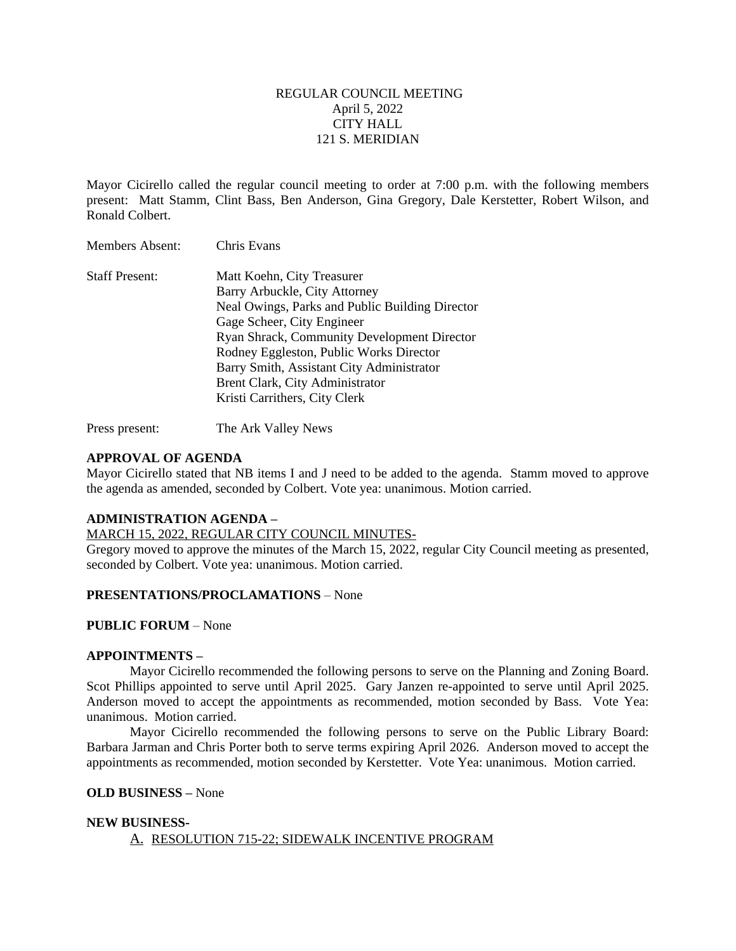### REGULAR COUNCIL MEETING April 5, 2022 CITY HALL 121 S. MERIDIAN

Mayor Cicirello called the regular council meeting to order at 7:00 p.m. with the following members present: Matt Stamm, Clint Bass, Ben Anderson, Gina Gregory, Dale Kerstetter, Robert Wilson, and Ronald Colbert.

| <b>Staff Present:</b> | Matt Koehn, City Treasurer                         |
|-----------------------|----------------------------------------------------|
|                       | Barry Arbuckle, City Attorney                      |
|                       | Neal Owings, Parks and Public Building Director    |
|                       | Gage Scheer, City Engineer                         |
|                       | <b>Ryan Shrack, Community Development Director</b> |
|                       | Rodney Eggleston, Public Works Director            |
|                       | Barry Smith, Assistant City Administrator          |
|                       | Brent Clark, City Administrator                    |
|                       | Kristi Carrithers, City Clerk                      |

Press present: The Ark Valley News

#### **APPROVAL OF AGENDA**

Mayor Cicirello stated that NB items I and J need to be added to the agenda. Stamm moved to approve the agenda as amended, seconded by Colbert. Vote yea: unanimous. Motion carried.

#### **ADMINISTRATION AGENDA –**

Members Absent: Chris Evans

#### MARCH 15, 2022, REGULAR CITY COUNCIL MINUTES-

Gregory moved to approve the minutes of the March 15, 2022, regular City Council meeting as presented, seconded by Colbert. Vote yea: unanimous. Motion carried.

### **PRESENTATIONS/PROCLAMATIONS** – None

#### **PUBLIC FORUM** – None

#### **APPOINTMENTS –**

Mayor Cicirello recommended the following persons to serve on the Planning and Zoning Board. Scot Phillips appointed to serve until April 2025. Gary Janzen re-appointed to serve until April 2025. Anderson moved to accept the appointments as recommended, motion seconded by Bass. Vote Yea: unanimous. Motion carried.

Mayor Cicirello recommended the following persons to serve on the Public Library Board: Barbara Jarman and Chris Porter both to serve terms expiring April 2026. Anderson moved to accept the appointments as recommended, motion seconded by Kerstetter. Vote Yea: unanimous. Motion carried.

#### **OLD BUSINESS –** None

#### **NEW BUSINESS-**

#### A. RESOLUTION 715-22; SIDEWALK INCENTIVE PROGRAM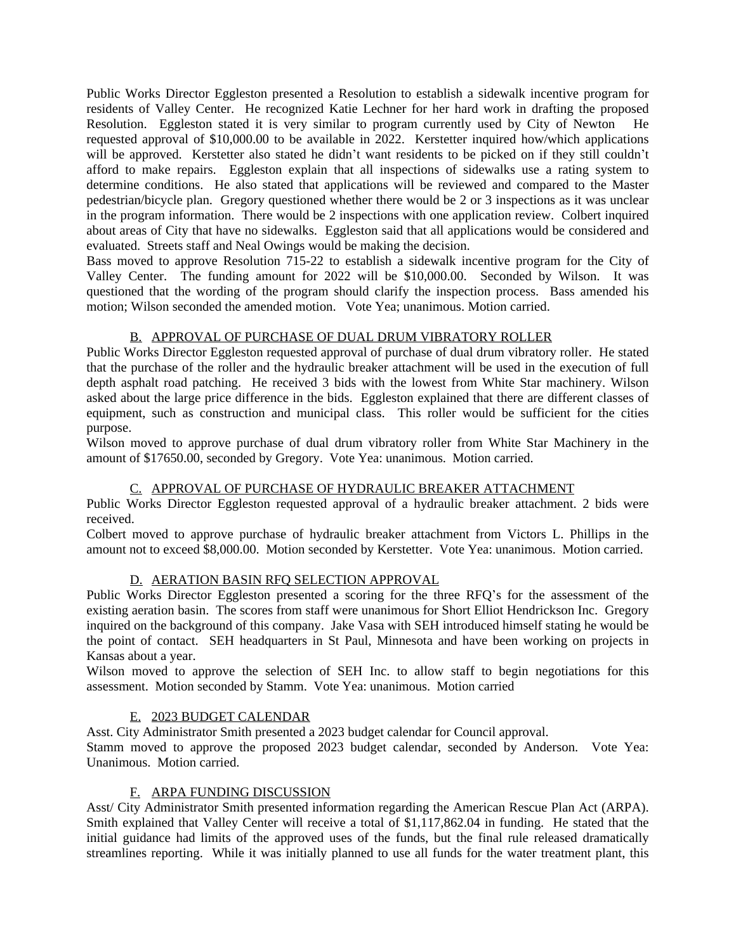Public Works Director Eggleston presented a Resolution to establish a sidewalk incentive program for residents of Valley Center. He recognized Katie Lechner for her hard work in drafting the proposed Resolution. Eggleston stated it is very similar to program currently used by City of Newton He requested approval of \$10,000.00 to be available in 2022. Kerstetter inquired how/which applications will be approved. Kerstetter also stated he didn't want residents to be picked on if they still couldn't afford to make repairs. Eggleston explain that all inspections of sidewalks use a rating system to determine conditions. He also stated that applications will be reviewed and compared to the Master pedestrian/bicycle plan. Gregory questioned whether there would be 2 or 3 inspections as it was unclear in the program information. There would be 2 inspections with one application review. Colbert inquired about areas of City that have no sidewalks. Eggleston said that all applications would be considered and evaluated. Streets staff and Neal Owings would be making the decision.

Bass moved to approve Resolution 715-22 to establish a sidewalk incentive program for the City of Valley Center. The funding amount for 2022 will be \$10,000.00. Seconded by Wilson. It was questioned that the wording of the program should clarify the inspection process. Bass amended his motion; Wilson seconded the amended motion. Vote Yea; unanimous. Motion carried.

# B. APPROVAL OF PURCHASE OF DUAL DRUM VIBRATORY ROLLER

Public Works Director Eggleston requested approval of purchase of dual drum vibratory roller. He stated that the purchase of the roller and the hydraulic breaker attachment will be used in the execution of full depth asphalt road patching. He received 3 bids with the lowest from White Star machinery. Wilson asked about the large price difference in the bids. Eggleston explained that there are different classes of equipment, such as construction and municipal class. This roller would be sufficient for the cities purpose.

Wilson moved to approve purchase of dual drum vibratory roller from White Star Machinery in the amount of \$17650.00, seconded by Gregory. Vote Yea: unanimous. Motion carried.

# C. APPROVAL OF PURCHASE OF HYDRAULIC BREAKER ATTACHMENT

Public Works Director Eggleston requested approval of a hydraulic breaker attachment. 2 bids were received.

Colbert moved to approve purchase of hydraulic breaker attachment from Victors L. Phillips in the amount not to exceed \$8,000.00. Motion seconded by Kerstetter. Vote Yea: unanimous. Motion carried.

# D. AERATION BASIN RFQ SELECTION APPROVAL

Public Works Director Eggleston presented a scoring for the three RFQ's for the assessment of the existing aeration basin. The scores from staff were unanimous for Short Elliot Hendrickson Inc. Gregory inquired on the background of this company. Jake Vasa with SEH introduced himself stating he would be the point of contact. SEH headquarters in St Paul, Minnesota and have been working on projects in Kansas about a year.

Wilson moved to approve the selection of SEH Inc. to allow staff to begin negotiations for this assessment. Motion seconded by Stamm. Vote Yea: unanimous. Motion carried

# E. 2023 BUDGET CALENDAR

Asst. City Administrator Smith presented a 2023 budget calendar for Council approval.

Stamm moved to approve the proposed 2023 budget calendar, seconded by Anderson. Vote Yea: Unanimous. Motion carried.

# F. ARPA FUNDING DISCUSSION

Asst/ City Administrator Smith presented information regarding the American Rescue Plan Act (ARPA). Smith explained that Valley Center will receive a total of \$1,117,862.04 in funding. He stated that the initial guidance had limits of the approved uses of the funds, but the final rule released dramatically streamlines reporting. While it was initially planned to use all funds for the water treatment plant, this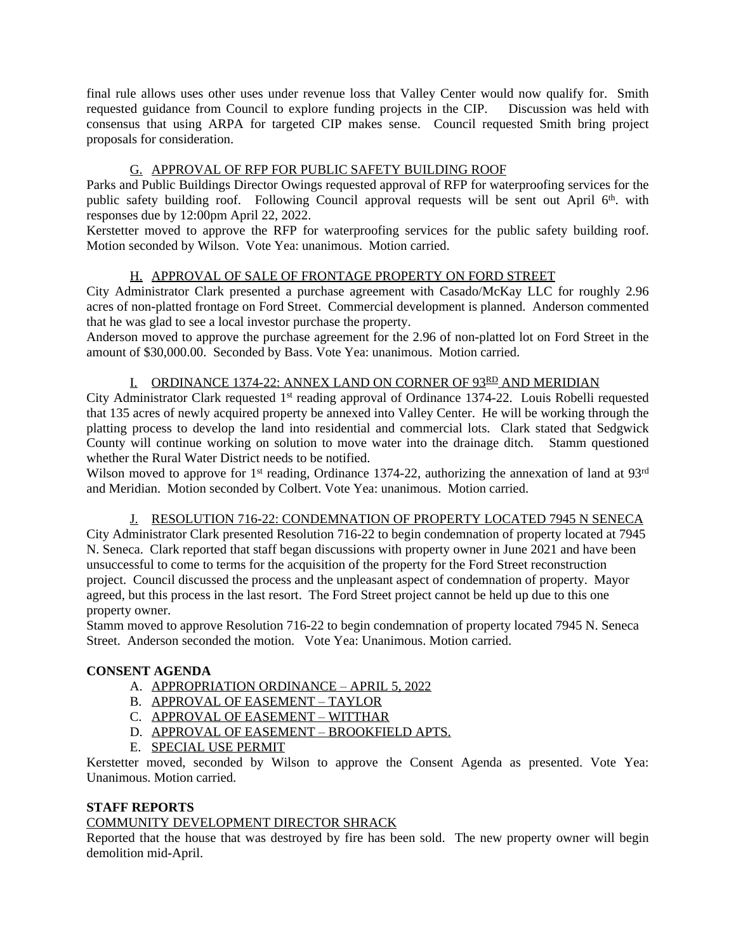final rule allows uses other uses under revenue loss that Valley Center would now qualify for. Smith requested guidance from Council to explore funding projects in the CIP. Discussion was held with consensus that using ARPA for targeted CIP makes sense. Council requested Smith bring project proposals for consideration.

# G. APPROVAL OF RFP FOR PUBLIC SAFETY BUILDING ROOF

Parks and Public Buildings Director Owings requested approval of RFP for waterproofing services for the public safety building roof. Following Council approval requests will be sent out April 6<sup>th</sup>. with responses due by 12:00pm April 22, 2022.

Kerstetter moved to approve the RFP for waterproofing services for the public safety building roof. Motion seconded by Wilson. Vote Yea: unanimous. Motion carried.

# H. APPROVAL OF SALE OF FRONTAGE PROPERTY ON FORD STREET

City Administrator Clark presented a purchase agreement with Casado/McKay LLC for roughly 2.96 acres of non-platted frontage on Ford Street. Commercial development is planned. Anderson commented that he was glad to see a local investor purchase the property.

Anderson moved to approve the purchase agreement for the 2.96 of non-platted lot on Ford Street in the amount of \$30,000.00. Seconded by Bass. Vote Yea: unanimous. Motion carried.

## I. ORDINANCE 1374-22: ANNEX LAND ON CORNER OF 93RD AND MERIDIAN

City Administrator Clark requested 1<sup>st</sup> reading approval of Ordinance 1374-22. Louis Robelli requested that 135 acres of newly acquired property be annexed into Valley Center. He will be working through the platting process to develop the land into residential and commercial lots. Clark stated that Sedgwick County will continue working on solution to move water into the drainage ditch. Stamm questioned whether the Rural Water District needs to be notified.

Wilson moved to approve for 1<sup>st</sup> reading, Ordinance 1374-22, authorizing the annexation of land at 93<sup>rd</sup> and Meridian. Motion seconded by Colbert. Vote Yea: unanimous. Motion carried.

### J. RESOLUTION 716-22: CONDEMNATION OF PROPERTY LOCATED 7945 N SENECA

City Administrator Clark presented Resolution 716-22 to begin condemnation of property located at 7945 N. Seneca. Clark reported that staff began discussions with property owner in June 2021 and have been unsuccessful to come to terms for the acquisition of the property for the Ford Street reconstruction project. Council discussed the process and the unpleasant aspect of condemnation of property. Mayor agreed, but this process in the last resort. The Ford Street project cannot be held up due to this one property owner.

Stamm moved to approve Resolution 716-22 to begin condemnation of property located 7945 N. Seneca Street. Anderson seconded the motion. Vote Yea: Unanimous. Motion carried.

# **CONSENT AGENDA**

- A. APPROPRIATION ORDINANCE APRIL 5, 2022
- B. APPROVAL OF EASEMENT TAYLOR
- C. APPROVAL OF EASEMENT WITTHAR
- D. APPROVAL OF EASEMENT BROOKFIELD APTS.
- E. SPECIAL USE PERMIT

Kerstetter moved, seconded by Wilson to approve the Consent Agenda as presented. Vote Yea: Unanimous. Motion carried.

### **STAFF REPORTS**

# COMMUNITY DEVELOPMENT DIRECTOR SHRACK

Reported that the house that was destroyed by fire has been sold. The new property owner will begin demolition mid-April.